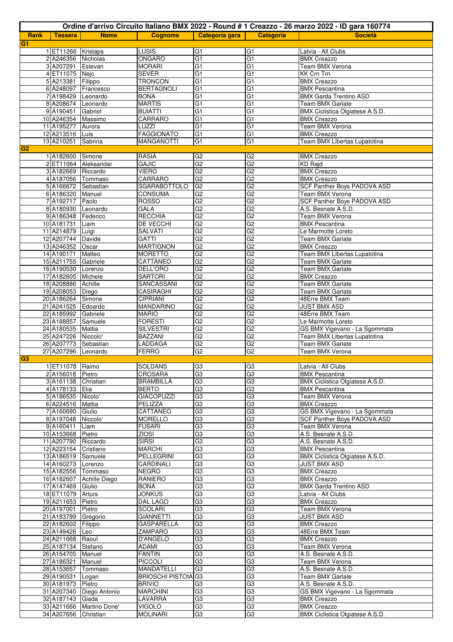|                |                                          |                          |                                  |                                   |                                    | Ordine d'arrivo Circuito Italiano BMX 2022 - Round # 1 Creazzo - 26 marzo 2022 - ID gara 160774 |
|----------------|------------------------------------------|--------------------------|----------------------------------|-----------------------------------|------------------------------------|-------------------------------------------------------------------------------------------------|
| Rank           | <b>Tessera</b>                           | <b>Nome</b>              | <b>Cognome</b>                   | Categoria gara                    | <b>Categoria</b>                   | <b>Società</b>                                                                                  |
| G1             |                                          |                          |                                  |                                   |                                    |                                                                                                 |
|                | 1 ET11266 Kristaps                       |                          | LUSIS                            | G <sub>1</sub>                    | G <sub>1</sub>                     | Latvia - All Clubs                                                                              |
|                | 2 A246356 Nicholas                       |                          | ONGARO                           | G <sub>1</sub>                    | G <sub>1</sub>                     | <b>BMX Creazzo</b>                                                                              |
|                | 3 A207291 Estevan                        |                          | <b>MORARI</b>                    | G <sub>1</sub>                    | $\overline{G1}$                    | Team BMX Verona                                                                                 |
|                | 4 ET11075 Nejc                           |                          | SEVER                            | G <sub>1</sub>                    | $\overline{G}$                     | <b>KK Crn Trn</b>                                                                               |
|                | 5 A213381 Filippo                        |                          | <b>TRONCON</b>                   | $\overline{G}$                    | $\overline{G1}$                    | <b>BMX Creazzo</b>                                                                              |
|                |                                          | 6 A248097 Francesco      | <b>BERTAGNOLI</b>                | G <sub>1</sub>                    | G <sub>1</sub>                     | <b>BMX Pescantina</b>                                                                           |
|                | 7 A198429                                | Leonardo                 | <b>BONA</b>                      | G <sub>1</sub>                    | G1                                 | <b>BMX Garda Trentino ASD</b>                                                                   |
|                | 8 A208674 Leonardo                       |                          | <b>MARTIS</b>                    | $\overline{G1}$                   | G <sub>1</sub>                     | <b>Team BMX Garlate</b>                                                                         |
|                | 9 A190451 Gabriel                        |                          | <b>BUIATTI</b>                   | G <sub>1</sub>                    | G <sub>1</sub>                     | BMX Ciclistica Olgiatese A.S.D.                                                                 |
|                | 10 A246354 Massimo<br>11 A195277 Aurora  |                          | CARRARO<br>LUZZI                 | G <sub>1</sub><br>$\overline{G1}$ | $\overline{G1}$<br>$\overline{G1}$ | <b>BMX Creazzo</b><br>Team BMX Verona                                                           |
|                | 12 A213516 Luis                          |                          | <b>FAGGIONATO</b>                | $\overline{G1}$                   | $\overline{G1}$                    | <b>BMX Creazzo</b>                                                                              |
|                | 13 A210251 Sabrina                       |                          | <b>MANGANOTTI</b>                | $\overline{G1}$                   | $\overline{G1}$                    | Team BMX Libertas Lupatotina                                                                    |
| G <sub>2</sub> |                                          |                          |                                  |                                   |                                    |                                                                                                 |
|                | 1 A182600 Simone                         |                          | <b>RASIA</b>                     | G <sub>2</sub>                    | G <sub>2</sub>                     | <b>BMX Creazzo</b>                                                                              |
|                |                                          | 2 ET11064 Aleksandar     | <b>GAJIC</b>                     | G2                                | G2                                 | <b>KD Rajd</b>                                                                                  |
|                | 3 A182669 Riccardo                       |                          | <b>VIERO</b>                     | G2                                | $\overline{G2}$                    | <b>BMX Creazzo</b>                                                                              |
|                | 4 A187056 Tommaso                        |                          | <b>CARRARO</b>                   | G <sub>2</sub>                    | G <sub>2</sub>                     | <b>BMX Creazzo</b>                                                                              |
|                | 5 A166672 Sebastian                      |                          | SGARABOTTOLO                     | G <sub>2</sub>                    | G2                                 | SCF Panther Boys PADOVA ASD                                                                     |
|                | 6 A186320 Manuel                         |                          | CONSUMA                          | G2                                | G2                                 | Team BMX Verona                                                                                 |
|                | 7A192717                                 | Paolo                    | <b>ROSSO</b>                     | G2                                | G2                                 | SCF Panther Boys PADOVA ASD                                                                     |
|                | 8 A180930 Leonardo                       |                          | GALA                             | G2                                | G2                                 | A.S. Besnate A.S.D.                                                                             |
|                | 9 A186348 Federico                       |                          | <b>RECCHIA</b>                   | G2                                | G2                                 | <b>Team BMX Verona</b>                                                                          |
|                | 10 A181731                               | Liam                     | <b>DE VECCHI</b>                 | $\overline{G2}$                   | G2                                 | <b>BMX Pescantina</b>                                                                           |
|                | 11 A214879                               | Luigi                    | <b>SALVATI</b>                   | G <sub>2</sub>                    | G <sub>2</sub>                     | Le Marmotte Loreto                                                                              |
|                | 12 A207744 Davide                        |                          | <b>GATTI</b>                     | G <sub>2</sub>                    | G <sub>2</sub>                     | <b>Team BMX Garlate</b>                                                                         |
|                | 13 A246352 Oscar                         |                          | <b>MARTIGNON</b>                 | G2                                | G2                                 | <b>BMX Creazzo</b>                                                                              |
|                | 14 A190171 Matteo                        |                          | <b>MORETTO</b>                   | G2                                | G2                                 | Team BMX Libertas Lupatotina                                                                    |
|                | 15 A211755 Gabriele                      |                          | CATTANEO                         | G2                                | G2                                 | <b>Team BMX Garlate</b>                                                                         |
|                | 16 A190530 Lorenzo<br>17 A182605         | Michele                  | DELL'ORO<br><b>SARTORI</b>       | G2<br>G2                          | G2<br>G2                           | Team BMX Garlate<br><b>BMX Creazzo</b>                                                          |
|                | 18 A208886                               | Achille                  | SANCASSANI                       | G2                                | G <sub>2</sub>                     | Team BMX Garlate                                                                                |
|                | 19 A208053                               | Diego                    | <b>CASIRAGHI</b>                 | G2                                | G <sub>2</sub>                     | Team BMX Garlate                                                                                |
|                | 20 A186264                               | Simone                   | <b>CIPRIANI</b>                  | G <sub>2</sub>                    | G2                                 | 48Erre BMX Team                                                                                 |
|                | 21 A241525                               | Edoardo                  | MANDARINO                        | G2                                | G2                                 | JUST BMX ASD                                                                                    |
|                | 22 A185992 Gabriele                      |                          | <b>MARIO</b>                     | G2                                | G2                                 | 48Erre BMX Team                                                                                 |
|                | 23 A188857 Samuele                       |                          | <b>FORESTI</b>                   | G2                                | G2                                 | Le Marmotte Loreto                                                                              |
|                | 24 A180535 Mattia                        |                          | <b>SILVESTRI</b>                 | G <sub>2</sub>                    | G2                                 | GS BMX Vigevano - La Sgommata                                                                   |
|                | 25 A247226 Niccolo'                      |                          | <b>BAZZANI</b>                   | G2                                | G2                                 | Team BMX Libertas Lupatotina                                                                    |
|                | 26 A207773 Sebastian                     |                          | <b>LADDAGA</b>                   | G2                                | G2                                 | <b>Team BMX Garlate</b>                                                                         |
|                | 27 A207296                               | Leonardo                 | <b>FERRO</b>                     | G <sub>2</sub>                    | G2                                 | Team BMX Verona                                                                                 |
| G <sub>3</sub> |                                          |                          |                                  |                                   |                                    |                                                                                                 |
|                | 1 ET11078 Raimo                          |                          | <b>SOLDANS</b>                   | G3                                | G3                                 | Latvia - All Clubs                                                                              |
|                | 2 A156018 Pietro                         |                          | CROSARA                          | G <sub>3</sub>                    | G3                                 | <b>BMX Pescantina</b>                                                                           |
|                | 3 A161138 Christian                      |                          | <b>BRAMBILLA</b>                 | G3                                | G3                                 | BMX Ciclistica Olgiatese A.S.D.                                                                 |
|                | 4A178133                                 | Elia                     | <b>BERTO</b>                     | G3                                | G3                                 | <b>BMX Pescantina</b>                                                                           |
|                | 5 A186535 Nicolo'                        |                          | <b>GIACOPUZZI</b>                | G3                                | G3                                 | Team BMX Verona                                                                                 |
|                | 6 A224516 Mattia                         |                          | <b>PELIZZA</b>                   | G3                                | G3                                 | <b>BMX Creazzo</b>                                                                              |
|                | 7 A160690 Giulio                         |                          | CATTANEO                         | G3                                | G3                                 | GS BMX Vigevano - La Sgommata                                                                   |
|                | 8 A197048 Niccolo'                       |                          | <b>MORELLO</b>                   | G3                                | G3                                 | SCF Panther Boys PADOVA ASD                                                                     |
|                | 9 A160411 Liam                           |                          | <b>FUSARI</b>                    | G3                                | G3<br>G3                           | Team BMX Verona<br>A.S. Besnate A.S.D.                                                          |
|                | 10 A153668 Pietro<br>11 A207790 Riccardo |                          | <b>ZIOSI</b><br><b>SIRSI</b>     | G <sub>3</sub><br>G3              | G3                                 | A.S. Besnate A.S.D.                                                                             |
|                | 12 A223154 Cristiano                     |                          | <b>MARCHI</b>                    | G <sub>3</sub>                    | G3                                 | <b>BMX Pescantina</b>                                                                           |
|                | 13 A186519 Samuele                       |                          | <b>PELLEGRINI</b>                | G3                                | G3                                 | BMX Ciclistica Olgiatese A.S.D.                                                                 |
|                | 14 A160273                               | Lorenzo                  | CARDINALI                        | G3                                | G3                                 | <b>JUST BMX ASD</b>                                                                             |
|                | 15 A182556                               | Tommaso                  | <b>NEGRO</b>                     | G3                                | G3                                 | <b>BMX Creazzo</b>                                                                              |
|                |                                          | 16 A182607 Achille Diego | <b>RANIERO</b>                   | G3                                | G3                                 | <b>BMX Creazzo</b>                                                                              |
|                | 17 A147469 Giulio                        |                          | <b>BONA</b>                      | G3                                | G <sub>3</sub>                     | <b>BMX Garda Trentino ASD</b>                                                                   |
|                | 18 ET11079                               | Arturs                   | <b>JONKUS</b>                    | G <sub>3</sub>                    | G3                                 | Latvia - All Clubs                                                                              |
|                | 19 A211653 Pietro                        |                          | DAL LAGO                         | G3                                | G3                                 | <b>BMX Creazzo</b>                                                                              |
|                | 20 A197001                               | Pietro                   | <b>SCOLARI</b>                   | G3                                | G3                                 | Team BMX Verona                                                                                 |
|                | 21 A183799 Gregorio                      |                          | <b>GIANNETTI</b>                 | G <sub>3</sub>                    | G3                                 | <b>JUST BMX ASD</b>                                                                             |
|                | 22 A182602                               | Filippo                  | <b>GASPARELLA</b>                | G3                                | G3                                 | <b>BMX Creazzo</b>                                                                              |
|                | 23 A149426                               | Leo                      | ZAMPARO                          | G3                                | G3                                 | 48Erre BMX Team                                                                                 |
|                | 24 A211668 Raoul                         |                          | D'ANGELO                         | G <sub>3</sub>                    | G3                                 | <b>BMX Creazzo</b>                                                                              |
|                | 25 A187134 Stefano                       |                          | ADAMI                            | G3                                | G3                                 | Team BMX Verona                                                                                 |
|                | 26 A154705 Manuel                        |                          | <b>FANTIN</b>                    | G3                                | G3                                 | A.S. Besnate A.S.D.                                                                             |
|                | 27 A186321 Manuel                        |                          | <b>PICCOLI</b>                   | G3                                | G3                                 | Team BMX Verona                                                                                 |
|                | 28 A153657                               | Tommaso                  | MANDATELLI                       | G3                                | G3                                 | A.S. Besnate A.S.D.                                                                             |
|                | 29 A190531                               | Logan                    | <b>BRIOSCHI PISTOIA G3</b>       | G <sub>3</sub>                    | G3<br>G3                           | <b>Team BMX Garlate</b>                                                                         |
|                | 30 A181973 Pietro                        | 31 A207340 Diego Antonio | <b>BRIVIO</b><br><b>MARCHINI</b> | G3                                | G3                                 | A.S. Besnate A.S.D.<br>GS BMX Vigevano - La Sgommata                                            |
|                | 32 A187143 Giada                         |                          | LAVARRA                          | G <sub>3</sub>                    | G3                                 | <b>BMX Creazzo</b>                                                                              |
|                |                                          | 33 A211666 Martino Done' | <b>VIGOLO</b>                    | G3                                | G3                                 | <b>BMX Creazzo</b>                                                                              |
|                | 34 A207656 Christian                     |                          | <b>MOLINARI</b>                  | G <sub>3</sub>                    | G3                                 | BMX Ciclistica Olgiatese A.S.D.                                                                 |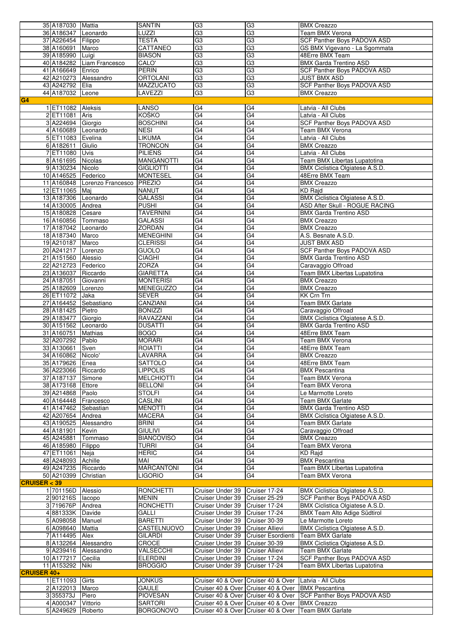|                    | 35 A187030 Mattia                        |                              | <b>SANTIN</b>                        | G <sub>3</sub>                                     | G <sub>3</sub>                                             | <b>BMX Creazzo</b>                                                  |
|--------------------|------------------------------------------|------------------------------|--------------------------------------|----------------------------------------------------|------------------------------------------------------------|---------------------------------------------------------------------|
|                    | 36 A186347 Leonardo                      |                              | LUZZI                                | G <sub>3</sub>                                     | G3                                                         | Team BMX Verona                                                     |
|                    | 37 A226454 Filippo                       |                              | <b>TESTA</b>                         | G3                                                 | G3                                                         | <b>SCF Panther Boys PADOVA ASD</b>                                  |
|                    | 38 A160691 Marco                         |                              | CATTANEO                             | G3                                                 | G3                                                         | GS BMX Vigevano - La Sgommata                                       |
|                    | 39 A185990 Luigi                         |                              | <b>BIASON</b>                        | G3                                                 | G3                                                         | 48Erre BMX Team                                                     |
|                    | 41 A166649 Enrico                        | 40 A184282 Liam Francesco    | CALO'<br><b>PERIN</b>                | G3<br>G3                                           | G3<br>G3                                                   | <b>BMX Garda Trentino ASD</b><br><b>SCF Panther Boys PADOVA ASD</b> |
|                    |                                          | 42 A210273 Alessandro        | <b>ORTOLANI</b>                      | G3                                                 | G <sub>3</sub>                                             | <b>JUST BMX ASD</b>                                                 |
|                    | 43 A242792 Elia                          |                              | <b>MAZZUCATO</b>                     | G3                                                 | G3                                                         | SCF Panther Boys PADOVA ASD                                         |
|                    | 44 A187032 Leone                         |                              | LAVEZZI                              | G <sub>3</sub>                                     | G <sub>3</sub>                                             | <b>BMX Creazzo</b>                                                  |
| G4                 |                                          |                              |                                      |                                                    |                                                            |                                                                     |
|                    | 1 ET11082 Aleksis                        |                              | LANSO                                | G4                                                 | G4                                                         | Latvia - All Clubs                                                  |
|                    | 2 ET11081                                | Aris                         | KOŠKO                                | G4                                                 | G4                                                         | Latvia - All Clubs                                                  |
|                    | 3 A224694 Giorgio                        |                              | <b>BOSCHINI</b>                      | G4                                                 | G4                                                         | SCF Panther Boys PADOVA ASD                                         |
|                    | 4 A160689 Leonardo                       |                              | <b>NESI</b>                          | G4                                                 | G4                                                         | Team BMX Verona                                                     |
|                    | 5 ET11083 Evelina                        |                              | LIKUMA                               | G4                                                 | G4                                                         | Latvia - All Clubs                                                  |
|                    | 6 A182611                                | Giulio                       | <b>TRONCON</b>                       | G4                                                 | G4                                                         | <b>BMX Creazzo</b>                                                  |
|                    | 7 ET11080 Uvis                           |                              | <b>PILIENS</b>                       | G4                                                 | G4                                                         | Latvia - All Clubs                                                  |
|                    | 8 A161695 Nicolas                        |                              | <b>MANGANOTTI</b>                    | G4                                                 | G4                                                         | Team BMX Libertas Lupatotina                                        |
|                    | 9 A130234 Nicolo                         |                              | <b>GIGLIOTTI</b>                     | G4                                                 | G4                                                         | BMX Ciclistica Olgiatese A.S.D.                                     |
|                    | 10 A146525 Federico                      |                              | <b>MONTESEL</b>                      | G4                                                 | G4                                                         | 48Erre BMX Team                                                     |
|                    |                                          | 11 A160848 Lorenzo Francesco | PREZIO                               | G4                                                 | G4                                                         | <b>BMX Creazzo</b>                                                  |
|                    | 12 ET11065 Maj                           |                              | <b>NANUT</b>                         | G4                                                 | G4                                                         | <b>KD</b> Rajd                                                      |
|                    | 13 A187306 Leonardo                      |                              | <b>GALASSI</b>                       | G4                                                 | G4                                                         | BMX Ciclistica Olgiatese A.S.D.                                     |
|                    | 14 A130005 Andrea                        |                              | <b>PUSHI</b>                         | G4                                                 | G4                                                         | ASD After Skull - ROGUE RACING                                      |
|                    | 15 A180828 Cesare                        |                              | <b>TAVERNINI</b>                     | G4                                                 | G4                                                         | <b>BMX Garda Trentino ASD</b>                                       |
|                    | 16 A160856 Tommaso                       |                              | <b>GALASSI</b>                       | G4<br>G4                                           | G4<br>G4                                                   | <b>BMX Creazzo</b><br><b>BMX Creazzo</b>                            |
|                    | 17 A187042 Leonardo<br>18 A187340 Marco  |                              | <b>ZORDAN</b><br><b>MENEGHINI</b>    | G4                                                 | G4                                                         | A.S. Besnate A.S.D.                                                 |
|                    | 19 A210187 Marco                         |                              | <b>CLERISSI</b>                      | G4                                                 | G4                                                         | <b>JUST BMX ASD</b>                                                 |
|                    | 20 A241217 Lorenzo                       |                              | <b>GUOLO</b>                         | G4                                                 | G4                                                         | SCF Panther Boys PADOVA ASD                                         |
|                    | 21 A151560 Alessio                       |                              | <b>CIAGHI</b>                        | G4                                                 | G4                                                         | <b>BMX Garda Trentino ASD</b>                                       |
|                    | 22 A212723 Federico                      |                              | <b>ZORZA</b>                         | G4                                                 | G4                                                         | Caravaggio Offroad                                                  |
|                    | 23 A136037 Riccardo                      |                              | <b>GIARETTA</b>                      | G4                                                 | G4                                                         | Team BMX Libertas Lupatotina                                        |
|                    | 24 A187051 Giovanni                      |                              | <b>MONTERISI</b>                     | G4                                                 | G4                                                         | <b>BMX Creazzo</b>                                                  |
|                    | 25 A182609 Lorenzo                       |                              | MENEGUZZO                            | G4                                                 | G <sub>4</sub>                                             | <b>BMX Creazzo</b>                                                  |
|                    | 26 ET11072 Jaka                          |                              | <b>SEVER</b>                         | G4                                                 | G4                                                         | KK Crn Trn                                                          |
|                    |                                          | 27 A164452 Sebastiano        | CANZIANI                             | G4                                                 | G4                                                         | <b>Team BMX Garlate</b>                                             |
|                    | 28 A181425 Pietro                        |                              | <b>BONIZZI</b>                       | G4                                                 | G4                                                         | Caravaggio Offroad                                                  |
|                    | 29 A183477 Giorgio                       |                              | RAVAZZANI                            | G4                                                 | G4                                                         | BMX Ciclistica Olgiatese A.S.D.                                     |
|                    | 30 A151562 Leonardo                      |                              | <b>DUSATTI</b>                       | G4                                                 | G4                                                         | <b>BMX Garda Trentino ASD</b>                                       |
|                    | 31 A160751 Mathias                       |                              | <b>BOGO</b>                          | G4                                                 | G4                                                         | 48Erre BMX Team                                                     |
|                    | 32 A207292 Pablo                         |                              | <b>MORARI</b>                        | G4                                                 | G4                                                         | Team BMX Verona                                                     |
|                    | 33 A130661 Sven                          |                              | <b>ROIATTI</b>                       | G4                                                 | G4                                                         | 48Erre BMX Team                                                     |
|                    | 34 A160862 Nicolo'                       |                              | LAVARRA                              | G4                                                 | G4                                                         | <b>BMX Creazzo</b>                                                  |
|                    | 35 A179626 Enea                          |                              | <b>SATTOLO</b>                       | G <sub>4</sub><br>G4                               | G <sub>4</sub><br>G4                                       | 48Erre BMX Team<br><b>BMX Pescantina</b>                            |
|                    | 36 A223066 Riccardo<br>37 A187137 Simone |                              | <b>LIPPOLIS</b><br><b>MELCHIOTTI</b> | G4                                                 | G4                                                         | Team BMX Verona                                                     |
|                    | 38 A173168 Ettore                        |                              | <b>BELLONI</b>                       | G4                                                 | G4                                                         | Team BMX Verona                                                     |
|                    | 39 A214868 Paolo                         |                              | <b>STOLFI</b>                        | G4                                                 | G4                                                         | Le Marmotte Loreto                                                  |
|                    |                                          | 40 A164448 Francesco         | CASLINI                              | G4                                                 | G4                                                         | <b>Team BMX Garlate</b>                                             |
|                    | 41 A147462 Sebastian                     |                              | <b>MENOTTI</b>                       | G4                                                 | G4                                                         | <b>BMX Garda Trentino ASD</b>                                       |
|                    | 42 A207654 Andrea                        |                              | <b>MACERA</b>                        | G4                                                 | G4                                                         | BMX Ciclistica Olgiatese A.S.D.                                     |
|                    |                                          | 43 A190525 Alessandro        | BRINI                                | G4                                                 | G4                                                         | Team BMX Garlate                                                    |
|                    | 44 A181901 Kevin                         |                              | <b>GIULIVI</b>                       | G4                                                 | G4                                                         | Caravaggio Offroad                                                  |
|                    | 45 A245881                               | Tommaso                      | <b>BIANCOVISO</b>                    | G4                                                 | G4                                                         | <b>BMX Creazzo</b>                                                  |
|                    | 46 A185980 Filippo                       |                              | <b>TURRI</b>                         | G4                                                 | G4                                                         | Team BMX Verona                                                     |
|                    | 47 ET11061                               | Neja                         | <b>HERIC</b>                         | G4                                                 | G4                                                         | KD Raid                                                             |
|                    | 48 A248093 Achille                       |                              | MAI                                  | G4                                                 | G4                                                         | <b>BMX Pescantina</b>                                               |
|                    | 49 A247235 Riccardo                      |                              | <b>MARCANTONI</b>                    | G4                                                 | G4                                                         | Team BMX Libertas Lupatotina                                        |
|                    | 50 A210399                               | Christian                    | <b>LIGORIO</b>                       | G4                                                 | G4                                                         | Team BMX Verona                                                     |
| CRUISER < 39       |                                          |                              |                                      |                                                    |                                                            |                                                                     |
|                    | 1 701156D Alessio<br>2 901216S lacopo    |                              | <b>RONCHETTI</b><br><b>MENIN</b>     | Cruiser Under 39<br>Cruiser Under 39 Cruiser 25-29 | Cruiser 17-24                                              | BMX Ciclistica Olgiatese A.S.D.<br>SCF Panther Boys PADOVA ASD      |
|                    | 3 719676P Andrea                         |                              | <b>RONCHETTI</b>                     | Cruiser Under 39 Cruiser 17-24                     |                                                            | BMX Ciclistica Olgiatese A.S.D.                                     |
|                    | 4 881333K Davide                         |                              | GALLI                                | Cruiser Under 39                                   | Cruiser 17-24                                              | <b>BMX Team Alto Adige Südtirol</b>                                 |
|                    | 5 A098058 Manuel                         |                              | <b>BARETTI</b>                       | Cruiser Under 39 Cruiser 30-39                     |                                                            | Le Marmotte Loreto                                                  |
|                    | 6 A098640 Mattia                         |                              | CASTELNUOVO                          | Cruiser Under 39 Cruiser Allievi                   |                                                            | BMX Ciclistica Olgiatese A.S.D.                                     |
|                    | 7 A114495 Alex                           |                              | <b>GILARDI</b>                       |                                                    | Cruiser Under 39 Cruiser Esordienti                        | Team BMX Garlate                                                    |
|                    |                                          | 8 A132264 Alessandro         | CROCE                                | Cruiser Under 39 Cruiser 30-39                     |                                                            | BMX Ciclistica Olgiatese A.S.D.                                     |
|                    |                                          | 9 A239416 Alessandro         | VALSECCHI                            | Cruiser Under 39 Cruiser Allievi                   |                                                            | Team BMX Garlate                                                    |
|                    | 10 A177217 Cecilia                       |                              | <b>ELERDINI</b>                      | Cruiser Under 39 Cruiser 17-24                     |                                                            | SCF Panther Boys PADOVA ASD                                         |
|                    | 11 A153292 Niki                          |                              | <b>BROGGIO</b>                       | Cruiser Under 39 Cruiser 17-24                     |                                                            | Team BMX Libertas Lupatotina                                        |
| <b>CRUISER 40+</b> |                                          |                              |                                      |                                                    |                                                            |                                                                     |
|                    | 1 ET11093 Girts                          |                              | <b>JONKUS</b>                        |                                                    | Cruiser 40 & Over   Cruiser 40 & Over   Latvia - All Clubs |                                                                     |
|                    | 2 A122013 Marco                          |                              | <b>GAULE</b>                         |                                                    | Cruiser 40 & Over Cruiser 40 & Over BMX Pescantina         |                                                                     |
|                    | 3355373J                                 | Piero                        | <b>PIOVESAN</b>                      |                                                    |                                                            | Cruiser 40 & Over Cruiser 40 & Over SCF Panther Boys PADOVA ASD     |
|                    | 4 A000347 Vittorio                       |                              | <b>SARTORI</b>                       |                                                    | Cruiser 40 & Over Cruiser 40 & Over BMX Creazzo            |                                                                     |
|                    | 5 A249629 Roberto                        |                              | <b>BORGONOVO</b>                     |                                                    |                                                            | Cruiser 40 & Over Cruiser 40 & Over   Team BMX Garlate              |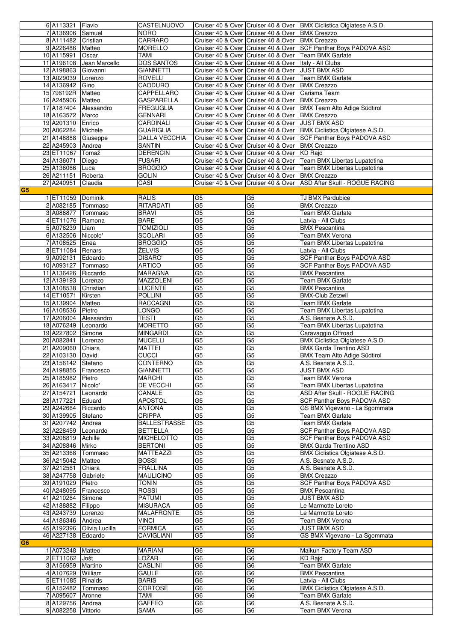|                | 6 A113321            | Flavio                    | CASTELNUOVO          |                |                                                         | Cruiser 40 & Over Cruiser 40 & Over   BMX Ciclistica Olgiatese A.S.D.  |
|----------------|----------------------|---------------------------|----------------------|----------------|---------------------------------------------------------|------------------------------------------------------------------------|
|                |                      |                           |                      |                |                                                         |                                                                        |
|                | 7 A136906 Samuel     |                           | <b>NORO</b>          |                | Cruiser 40 & Over Cruiser 40 & Over BMX Creazzo         |                                                                        |
|                | 8 A111482 Cristian   |                           | CARRARO              |                | Cruiser 40 & Over Cruiser 40 & Over BMX Creazzo         |                                                                        |
|                | 9 A226486 Matteo     |                           | <b>MORELLO</b>       |                |                                                         | Cruiser 40 & Over Cruiser 40 & Over SCF Panther Boys PADOVA ASD        |
|                |                      |                           |                      |                |                                                         |                                                                        |
|                | 10 A115991           | Oscar                     | TAMI                 |                | Cruiser 40 & Over Cruiser 40 & Over Team BMX Garlate    |                                                                        |
|                |                      | 11 A196108 Jean Marcello  | <b>DOS SANTOS</b>    |                | Cruiser 40 & Over Cruiser 40 & Over   Italy - All Clubs |                                                                        |
|                | 12 A198863 Giovanni  |                           | <b>GIANNETTI</b>     |                | Cruiser 40 & Over Cruiser 40 & Over JJUST BMX ASD       |                                                                        |
|                |                      |                           |                      |                |                                                         |                                                                        |
|                | 13 A029039 Lorenzo   |                           | <b>ROVELLI</b>       |                | Cruiser 40 & Over Cruiser 40 & Over Team BMX Garlate    |                                                                        |
|                | 14 A136942 Gino      |                           | CAODURO              |                | Cruiser 40 & Over Cruiser 40 & Over                     | <b>BMX</b> Creazzo                                                     |
|                |                      |                           |                      |                |                                                         |                                                                        |
|                | 15 796192R Matteo    |                           | CAPPELLARO           |                | Cruiser 40 & Over Cruiser 40 & Over Carisma Team        |                                                                        |
|                | 16 A245906 Matteo    |                           | <b>GASPARELLA</b>    |                | Cruiser 40 & Over Cruiser 40 & Over BMX Creazzo         |                                                                        |
|                |                      |                           |                      |                |                                                         |                                                                        |
|                |                      | 17 A187404 Alessandro     | <b>FREGUGLIA</b>     |                |                                                         | Cruiser 40 & Over Cruiser 40 & Over   BMX Team Alto Adige Südtirol     |
|                | 18 A163572 Marco     |                           | <b>GENNARI</b>       |                | Cruiser 40 & Over Cruiser 40 & Over                     | <b>BMX Creazzo</b>                                                     |
|                | 19 A201310 Enrico    |                           | CARDINALI            |                | Cruiser 40 & Over Cruiser 40 & Over                     | <b>JUST BMX ASD</b>                                                    |
|                |                      |                           |                      |                |                                                         |                                                                        |
|                | 20 A062284 Michele   |                           | <b>GUARIGLIA</b>     |                | Cruiser 40 & Over Cruiser 40 & Over                     | BMX Ciclistica Olgiatese A.S.D.                                        |
|                | 21 A148888           | Giuseppe                  | <b>DALLA VECCHIA</b> |                | Cruiser 40 & Over Cruiser 40 & Over                     | <b>SCF Panther Boys PADOVA ASD</b>                                     |
|                |                      |                           |                      |                |                                                         |                                                                        |
|                | 22 A245903 Andrea    |                           | <b>SANTIN</b>        |                | Cruiser 40 & Over Cruiser 40 & Over                     | <b>BMX Creazzo</b>                                                     |
|                | 23 ET11067           | Tomaž                     | <b>DERENCIN</b>      |                | Cruiser 40 & Over Cruiser 40 & Over KD Rajd             |                                                                        |
|                | 24 A136071           | Diego                     | <b>FUSARI</b>        |                |                                                         | Cruiser 40 & Over Cruiser 40 & Over   Team BMX Libertas Lupatotina     |
|                |                      |                           |                      |                |                                                         |                                                                        |
|                | 25 A136066 Luca      |                           | <b>BROGGIO</b>       |                |                                                         | Cruiser 40 & Over Cruiser 40 & Over Team BMX Libertas Lupatotina       |
|                | 26 A211151           | Roberta                   | <b>GOLIN</b>         |                | Cruiser 40 & Over Cruiser 40 & Over BMX Creazzo         |                                                                        |
|                |                      |                           |                      |                |                                                         | Cruiser 40 & Over   Cruiser 40 & Over   ASD After Skull - ROGUE RACING |
|                | 27 A240951           | Claudia                   | CASI                 |                |                                                         |                                                                        |
| G <sub>5</sub> |                      |                           |                      |                |                                                         |                                                                        |
|                | 1 ET11059 Dominik    |                           | RÁLIŠ                | G <sub>5</sub> | G <sub>5</sub>                                          | TJ BMX Pardubice                                                       |
|                |                      |                           |                      |                |                                                         |                                                                        |
|                | 2 A082185 Tommaso    |                           | RITARDATI            | G <sub>5</sub> | G <sub>5</sub>                                          | <b>BMX Creazzo</b>                                                     |
|                | 3 A086877   Tommaso  |                           | <b>BRAVI</b>         | G <sub>5</sub> | G <sub>5</sub>                                          | <b>Team BMX Garlate</b>                                                |
|                |                      |                           |                      |                |                                                         |                                                                        |
|                | 4 ET11076 Ramona     |                           | <b>BARE</b>          | G <sub>5</sub> | G <sub>5</sub>                                          | Latvia - All Clubs                                                     |
|                | 5 A076239 Liam       |                           | <b>TOMIZIOLI</b>     | G <sub>5</sub> | G <sub>5</sub>                                          | <b>BMX Pescantina</b>                                                  |
|                |                      |                           |                      | G <sub>5</sub> | G <sub>5</sub>                                          | Team BMX Verona                                                        |
|                | 6 A132506 Niccolo'   |                           | <b>SCOLARI</b>       |                |                                                         |                                                                        |
|                | 7 A108525 Enea       |                           | <b>BROGGIO</b>       | G5             | $\overline{G5}$                                         | Team BMX Libertas Lupatotina                                           |
|                | 8 ET11084 Renars     |                           | ŽELVIS               | G <sub>5</sub> | G <sub>5</sub>                                          | Latvia - All Clubs                                                     |
|                |                      |                           |                      |                |                                                         |                                                                        |
|                | 9 A092131 Edoardo    |                           | <b>DISARO'</b>       | G <sub>5</sub> | G <sub>5</sub>                                          | <b>SCF Panther Boys PADOVA ASD</b>                                     |
|                | 10 A093127 Tommaso   |                           | <b>ARTICO</b>        | G <sub>5</sub> | G5                                                      | <b>SCF Panther Boys PADOVA ASD</b>                                     |
|                |                      |                           |                      |                |                                                         |                                                                        |
|                | 11 A136426 Riccardo  |                           | MARAGNA              | G5             | G <sub>5</sub>                                          | <b>BMX Pescantina</b>                                                  |
|                | 12 A139193 Lorenzo   |                           | MAZZOLENI            | G <sub>5</sub> | G5                                                      | Team BMX Garlate                                                       |
|                | 13 A108538 Christian |                           | <b>LUCENTE</b>       | G <sub>5</sub> | G <sub>5</sub>                                          | <b>BMX Pescantina</b>                                                  |
|                |                      |                           |                      |                |                                                         |                                                                        |
|                | 14 ET10571           | Kirsten                   | <b>POLLINI</b>       | G <sub>5</sub> | G5                                                      | <b>BMX-Club Zetzwil</b>                                                |
|                | 15 A139904           | Matteo                    | RACCAGNI             | G <sub>5</sub> | G5                                                      | Team BMX Garlate                                                       |
|                |                      |                           |                      |                |                                                         |                                                                        |
|                | 16 A108536 Pietro    |                           | LONGO                | G <sub>5</sub> | G5                                                      | Team BMX Libertas Lupatotina                                           |
|                | 17 A206004           | Alessandro                | <b>TESTI</b>         | G <sub>5</sub> | G <sub>5</sub>                                          | A.S. Besnate A.S.D.                                                    |
|                |                      |                           | <b>MORETTO</b>       |                | $\overline{G5}$                                         |                                                                        |
|                | 18 A076249 Leonardo  |                           |                      | G <sub>5</sub> |                                                         | Team BMX Libertas Lupatotina                                           |
|                | 19 A227802 Simone    |                           | <b>MINGARDI</b>      | G <sub>5</sub> | G5                                                      | Caravaggio Offroad                                                     |
|                | 20 A082841 Lorenzo   |                           | <b>MUCELLI</b>       | G <sub>5</sub> | G5                                                      | BMX Ciclistica Olgiatese A.S.D.                                        |
|                |                      |                           |                      |                |                                                         |                                                                        |
|                | 21 A209060 Chiara    |                           | MATTEI               | G <sub>5</sub> | G5                                                      | <b>BMX Garda Trentino ASD</b>                                          |
|                | 22 A103130 David     |                           | <b>CUCCI</b>         | G5             | G <sub>5</sub>                                          | <b>BMX Team Alto Adige Südtirol</b>                                    |
|                |                      |                           | <b>CONTERNO</b>      | G <sub>5</sub> | $\overline{G5}$                                         |                                                                        |
|                | 23 A156142 Stefano   |                           |                      |                |                                                         | A.S. Besnate A.S.D.                                                    |
|                |                      | 24 A198855 Francesco      | <b>GIANNETTI</b>     | G5             | G <sub>5</sub>                                          | <b>JUST BMX ASD</b>                                                    |
|                | 25 A185982 Pietro    |                           | <b>MARCHI</b>        | G5             | $\overline{G5}$                                         | Team BMX Verona                                                        |
|                |                      |                           |                      |                |                                                         |                                                                        |
|                | 26 A163417 Nicolo'   |                           | DE VECCHI            | G <sub>5</sub> | $\overline{G5}$                                         | Team BMX Libertas Lupatotina                                           |
|                | 27 A154721 Leonardo  |                           | CANALE               | G <sub>5</sub> | G5                                                      | ASD After Skull - ROGUE RACING                                         |
|                |                      |                           |                      |                |                                                         |                                                                        |
|                | 28 A177221 Eduard    |                           | <b>APOSTOL</b>       | G <sub>5</sub> | G5                                                      | SCF Panther Boys PADOVA ASD                                            |
|                | 29 A242664 Riccardo  |                           | <b>ANTONA</b>        | G <sub>5</sub> | G <sub>5</sub>                                          | GS BMX Vigevano - La Sgommata                                          |
|                | 30 A139905 Stefano   |                           | <b>CRIPPA</b>        | G <sub>5</sub> | G <sub>5</sub>                                          | Team BMX Garlate                                                       |
|                |                      |                           |                      |                |                                                         |                                                                        |
|                | 31 A207742 Andrea    |                           | <b>BALLESTRASSE</b>  | G <sub>5</sub> | G <sub>5</sub>                                          | Team BMX Garlate                                                       |
|                | 32 A228459 Leonardo  |                           | <b>BETTELLA</b>      | G <sub>5</sub> | G <sub>5</sub>                                          | SCF Panther Boys PADOVA ASD                                            |
|                | 33 A208819 Achille   |                           | <b>MICHELOTTO</b>    | G <sub>5</sub> | G5                                                      | SCF Panther Boys PADOVA ASD                                            |
|                |                      |                           |                      |                |                                                         |                                                                        |
|                | 34 A208846 Mirko     |                           | <b>BERTONI</b>       | G <sub>5</sub> | G5                                                      | <b>BMX Garda Trentino ASD</b>                                          |
|                | 35 A213368 Tommaso   |                           | <b>MATTEAZZI</b>     | G <sub>5</sub> | G5                                                      | BMX Ciclistica Olgiatese A.S.D.                                        |
|                |                      |                           |                      | G5             | G5                                                      |                                                                        |
|                | 36 A215042 Matteo    |                           | <b>BOSSI</b>         |                |                                                         | A.S. Besnate A.S.D.                                                    |
|                | 37 A212561           | Chiara                    | <b>FRALLINA</b>      | G <sub>5</sub> | G <sub>5</sub>                                          | A.S. Besnate A.S.D.                                                    |
|                | 38 A247758 Gabriele  |                           | <b>MAULICINO</b>     | G <sub>5</sub> | G <sub>5</sub>                                          | <b>BMX Creazzo</b>                                                     |
|                |                      |                           |                      |                |                                                         |                                                                        |
|                | 39 A191029 Pietro    |                           | <b>TONIN</b>         | G <sub>5</sub> | G <sub>5</sub>                                          | SCF Panther Boys PADOVA ASD                                            |
|                |                      | 40 A248095 Francesco      | <b>ROSSI</b>         | G <sub>5</sub> | G <sub>5</sub>                                          | <b>BMX Pescantina</b>                                                  |
|                | 41 A210264 Simone    |                           | PATUMI               | G <sub>5</sub> | G <sub>5</sub>                                          | <b>JUST BMX ASD</b>                                                    |
|                |                      |                           |                      |                |                                                         |                                                                        |
|                |                      |                           | <b>MISURACA</b>      |                |                                                         |                                                                        |
|                | 42 A188882           | Filippo                   |                      | G <sub>5</sub> | G <sub>5</sub>                                          | Le Marmotte Loreto                                                     |
|                |                      |                           |                      |                |                                                         |                                                                        |
|                | 43 A243739 Lorenzo   |                           | <b>MALAFRONTE</b>    | G <sub>5</sub> | G5                                                      | Le Marmotte Loreto                                                     |
|                | 44 A186346 Andrea    |                           | VINCI                | G <sub>5</sub> | G5                                                      | Team BMX Verona                                                        |
|                |                      |                           |                      |                |                                                         |                                                                        |
|                |                      | 45 A192396 Olivia Lucilla | <b>FORMICA</b>       | G <sub>5</sub> | G5                                                      | <b>JUST BMX ASD</b>                                                    |
|                | 46 A227138 Edoardo   |                           | CAVIGLIANI           | G <sub>5</sub> | G5                                                      | GS BMX Vigevano - La Sgommata                                          |
| G <sub>6</sub> |                      |                           |                      |                |                                                         |                                                                        |
|                |                      |                           |                      |                |                                                         |                                                                        |
|                | 1 A073248 Matteo     |                           | MARIANI              | G <sub>6</sub> | G6                                                      | Maikun Factory Team ASD                                                |
|                | 2 ET11062 Jošt       |                           | LOŽAR                | G <sub>6</sub> | G <sub>6</sub>                                          | <b>KD Rajd</b>                                                         |
|                |                      |                           |                      |                |                                                         |                                                                        |
|                | 3 A156959 Martino    |                           | CASLINI              | G6             | G <sub>6</sub>                                          | Team BMX Garlate                                                       |
|                | 4 A107629 William    |                           | <b>GAULE</b>         | G <sub>6</sub> | G <sub>6</sub>                                          | <b>BMX</b> Pescantina                                                  |
|                |                      |                           |                      |                |                                                         |                                                                        |
|                | 5 ET11085   Rinalds  |                           | <b>BARIS</b>         | G <sub>6</sub> | G <sub>6</sub>                                          | Latvia - All Clubs                                                     |
|                | 6 A152482 Tommaso    |                           | CORTOSE              | G <sub>6</sub> | G6                                                      | BMX Ciclistica Olgiatese A.S.D.                                        |
|                | 7 A095607 Aronne     |                           | TAMI                 | G <sub>6</sub> | G6                                                      | Team BMX Garlate                                                       |
|                |                      |                           |                      |                |                                                         |                                                                        |
|                | 8 A129756 Andrea     |                           | <b>GAFFEO</b>        | G <sub>6</sub> | G6                                                      | A.S. Besnate A.S.D.                                                    |
|                | 9 A082258 Vittorio   |                           | SAMA                 | G <sub>6</sub> | G <sub>6</sub>                                          | Team BMX Verona                                                        |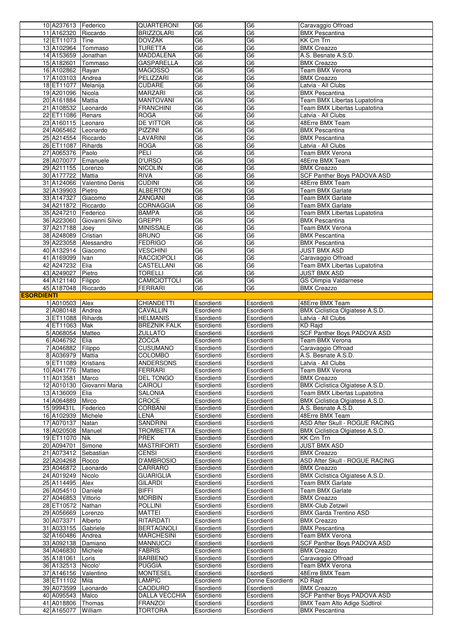|                   | 10 A237613   Federico |                            | QUARTERONI           | G6             | G <sub>6</sub>   |                                        |
|-------------------|-----------------------|----------------------------|----------------------|----------------|------------------|----------------------------------------|
|                   |                       |                            |                      |                |                  | Caravaggio Offroad                     |
|                   | 11 A162320 Riccardo   |                            | <b>BRIZZOLARI</b>    | G <sub>6</sub> | G <sub>6</sub>   | <b>BMX Pescantina</b>                  |
|                   | 12 ET11073 Tine       |                            | DOVŽAK               | G6             | G <sub>6</sub>   | KK Crn Trn                             |
|                   | 13 A102964 Tommaso    |                            | <b>TURETTA</b>       | G6             | G <sub>6</sub>   | <b>BMX Creazzo</b>                     |
|                   | 14 A153659 Jonathan   |                            | MADDALENA            | G <sub>6</sub> | G <sub>6</sub>   | A.S. Besnate A.S.D.                    |
|                   |                       |                            |                      |                |                  |                                        |
|                   | 15 A182601            | Tommaso                    | <b>GASPARELLA</b>    | G <sub>6</sub> | G <sub>6</sub>   | <b>BMX Creazzo</b>                     |
|                   | 16 A102862 Rayan      |                            | <b>MAGOSSO</b>       | G <sub>6</sub> | G <sub>6</sub>   | <b>Team BMX Verona</b>                 |
|                   | 17 A103103 Andrea     |                            | PELIZZARI            | G <sub>6</sub> | G <sub>6</sub>   | <b>BMX Creazzo</b>                     |
|                   | 18 ET11077 Melanija   |                            | <b>CUDARE</b>        | G <sub>6</sub> | G <sub>6</sub>   | Latvia - All Clubs                     |
|                   |                       |                            |                      |                |                  |                                        |
|                   | 19 A201096 Nicola     |                            | <b>MARZARI</b>       | G <sub>6</sub> | G <sub>6</sub>   | <b>BMX Pescantina</b>                  |
|                   | 20 A161884 Mattia     |                            | <b>MANTOVANI</b>     | G6             | G <sub>6</sub>   | Team BMX Libertas Lupatotina           |
|                   | 21 A108532 Leonardo   |                            | <b>FRANCHINI</b>     | G6             | G6               | Team BMX Libertas Lupatotina           |
|                   | 22 ET11086 Renars     |                            | <b>ROGA</b>          | G <sub>6</sub> | G6               | Latvia - All Clubs                     |
|                   |                       |                            | <b>DE VITTOR</b>     | G <sub>6</sub> | G <sub>6</sub>   | 48Erre BMX Team                        |
|                   | 23 A160115 Leonaro    |                            |                      |                |                  |                                        |
|                   | 24 A065462 Leonardo   |                            | <b>PIZZINI</b>       | G6             | G <sub>6</sub>   | <b>BMX Pescantina</b>                  |
|                   | 25 A214554 Riccardo   |                            | LAVARINI             | G <sub>6</sub> | G6               | <b>BMX Pescantina</b>                  |
|                   | 26 ET11087 Rihards    |                            | <b>ROGA</b>          | G <sub>6</sub> | G <sub>6</sub>   | Latvia - All Clubs                     |
|                   | 27 A065376 Paolo      |                            | <b>PELI</b>          | G <sub>6</sub> | G <sub>6</sub>   | <b>Team BMX Verona</b>                 |
|                   |                       |                            |                      |                |                  |                                        |
|                   | 28 A070077 Emanuele   |                            | <b>D'URSO</b>        | G6             | G6               | 48Erre BMX Team                        |
|                   | 29 A211155 Lorenzo    |                            | <b>NICOLIN</b>       | G6             | G <sub>6</sub>   | <b>BMX Creazzo</b>                     |
|                   | 30 A177722 Mattia     |                            | <b>RIVA</b>          | G <sub>6</sub> | G <sub>6</sub>   | SCF Panther Boys PADOVA ASD            |
|                   |                       | 31 A124066 Valentino Denis | <b>CUDINI</b>        | G6             | G <sub>6</sub>   | 48Erre BMX Team                        |
|                   |                       |                            |                      |                |                  |                                        |
|                   | 32 A139903 Pietro     |                            | <b>ALBERTON</b>      | G <sub>6</sub> | G <sub>6</sub>   | <b>Team BMX Garlate</b>                |
|                   | 33 A147327            | Giacomo                    | <b>ZANGANI</b>       | G <sub>6</sub> | G6               | Team BMX Garlate                       |
|                   | 34 A211872 Riccardo   |                            | <b>CORNAGGIA</b>     | G <sub>6</sub> | G <sub>6</sub>   | Team BMX Garlate                       |
|                   | 35 A247210 Federico   |                            | <b>BAMPA</b>         | G <sub>6</sub> | G <sub>6</sub>   | Team BMX Libertas Lupatotina           |
|                   |                       |                            |                      |                |                  |                                        |
|                   |                       | 36 A223060 Giovanni Silvio | <b>GREPPI</b>        | G <sub>6</sub> | G <sub>6</sub>   | <b>BMX Pescantina</b>                  |
|                   | 37 A217188            | Joey                       | <b>MINISSALE</b>     | G6             | G <sub>6</sub>   | Team BMX Verona                        |
|                   | 38 A248089 Cristian   |                            | <b>BRUNO</b>         | G <sub>6</sub> | G <sub>6</sub>   | <b>BMX Pescantina</b>                  |
|                   |                       | 39 A223058 Alessandro      | <b>FEDRIGO</b>       | G <sub>6</sub> | G <sub>6</sub>   | <b>BMX Pescantina</b>                  |
|                   |                       |                            |                      | G6             | G6               |                                        |
|                   | 40 A132914            | Giacomo                    | <b>VESCHINI</b>      |                |                  | JUST BMX ASD                           |
|                   | 41 A169099   Ivan     |                            | <b>RACCIOPOLI</b>    | G <sub>6</sub> | G <sub>6</sub>   | Caravaggio Offroad                     |
|                   | 42 A247232 Elia       |                            | CASTELLANI           | G <sub>6</sub> | G <sub>6</sub>   | Team BMX Libertas Lupatotina           |
|                   | 43 A249027 Pietro     |                            | <b>TORELLI</b>       | G <sub>6</sub> | G <sub>6</sub>   | <b>JUST BMX ASD</b>                    |
|                   | 44 A121140 Filippo    |                            | CAMICIOTTOLI         | G6             | G <sub>6</sub>   | GS Olimpia Valdarnese                  |
|                   |                       |                            |                      |                |                  |                                        |
|                   | 45 A187048 Riccardo   |                            | <b>FERRARI</b>       | G <sub>6</sub> | G <sub>6</sub>   | <b>BMX Creazzo</b>                     |
| <b>ESORDIENTI</b> |                       |                            |                      |                |                  |                                        |
|                   | 1 A010503 Alex        |                            | CHIANDETTI           | Esordienti     | Esordienti       | 48Erre BMX Team                        |
|                   | 2 A080148 Andrea      |                            | CAVALLIN             | Esordienti     | Esordienti       | BMX Ciclistica Olgiatese A.S.D.        |
|                   | 3 ET11088 Rihards     |                            | <b>HELMANIS</b>      | Esordienti     | Esordienti       | Latvia - All Clubs                     |
|                   |                       |                            |                      |                |                  |                                        |
|                   |                       |                            |                      |                |                  |                                        |
|                   | 4 ET11063 Mak         |                            | <b>BREZNIK FALK</b>  | Esordienti     | Esordienti       | <b>KD Rajd</b>                         |
|                   | 5 A068054 Matteo      |                            | <b>ZULLATO</b>       | Esordienti     | Esordienti       | SCF Panther Boys PADOVA ASD            |
|                   |                       |                            |                      |                |                  | Team BMX Verona                        |
|                   | 6 A046792 Elia        |                            | <b>ZOCCA</b>         | Esordienti     | Esordienti       |                                        |
|                   | 7 A046882 Filippo     |                            | <b>CUSUMANO</b>      | Esordienti     | Esordienti       | Caravaggio Offroad                     |
|                   | 8 A036979 Mattia      |                            | <b>COLOMBO</b>       | Esordienti     | Esordienti       | A.S. Besnate A.S.D.                    |
|                   | 9 ET11089 Kristians   |                            | <b>ANDERSONS</b>     | Esordienti     | Esordienti       | Latvia - All Clubs                     |
|                   | 10 A041776 Matteo     |                            | <b>FERRARI</b>       | Esordienti     | Esordienti       | Team BMX Verona                        |
|                   |                       |                            |                      |                |                  |                                        |
|                   | 11 A013581 Marco      |                            | <b>DEL TONGO</b>     | Esordienti     | Esordienti       | <b>BMX Creazzo</b>                     |
|                   |                       | 12 A010130 Giovanni Maria  | CAIROLI              | Esordienti     | Esordienti       | BMX Ciclistica Olgiatese A.S.D.        |
|                   | 13 A136009 Elia       |                            | <b>SALONIA</b>       | Esordienti     | Esordienti       | Team BMX Libertas Lupatotina           |
|                   | 14 A064889 Mirco      |                            | <b>CROCE</b>         | Esordienti     | Esordienti       | BMX Ciclistica Olgiatese A.S.D.        |
|                   |                       |                            |                      | Esordienti     | Esordienti       |                                        |
|                   | 15 999431L   Federico |                            | CORBANI              |                |                  | A.S. Besnate A.S.D.                    |
|                   | 16 A102939 Michele    |                            | LENA                 | Esordienti     | Esordienti       | 48Erre BMX Team                        |
|                   | 17 A070137 Natan      |                            | <b>SANDRINI</b>      | Esordienti     | Esordienti       | ASD After Skull - ROGUE RACING         |
|                   | 18 A020508 Manuel     |                            | <b>TROMBETTA</b>     | Esordienti     | Esordienti       | <b>BMX Ciclistica Olgiatese A.S.D.</b> |
|                   | 19 ET11070 Nik        |                            | <b>PREK</b>          | Esordienti     | Esordienti       | <b>KK Crn Trn</b>                      |
|                   |                       |                            |                      |                |                  | <b>JUST BMX ASD</b>                    |
|                   | 20 A094701 Simone     |                            | <b>MASTRIFORTI</b>   | Esordienti     | Esordienti       |                                        |
|                   | 21 A073412 Sebastian  |                            | CENSI                | Esordienti     | Esordienti       | <b>BMX Creazzo</b>                     |
|                   | 22 A204268 Rocco      |                            | D'AMBROSIO           | Esordienti     | Esordienti       | ASD After Skull - ROGUE RACING         |
|                   | 23 A046872 Leonardo   |                            | CARRARO              | Esordienti     | Esordienti       | <b>BMX Creazzo</b>                     |
|                   |                       |                            | <b>GUARIGLIA</b>     | Esordienti     | Esordienti       | BMX Ciclistica Olgiatese A.S.D.        |
|                   | 24 A019249 Nicolo     |                            |                      |                |                  |                                        |
|                   | 25 A114495            | Alex                       | <b>GILARDI</b>       | Esordienti     | Esordienti       | <b>Team BMX Garlate</b>                |
|                   | 26 A054510 Daniele    |                            | BIFFI                | Esordienti     | Esordienti       | <b>Team BMX Garlate</b>                |
|                   | 27 A046853            | Vittorio                   | <b>MORBIN</b>        | Esordienti     | Esordienti       | <b>BMX Creazzo</b>                     |
|                   | 28 ET10572 Nathan     |                            | <b>POLLINI</b>       | Esordienti     | Esordienti       | <b>BMX-Club Zetzwil</b>                |
|                   |                       |                            |                      |                |                  |                                        |
|                   | 29 A056669            | Lorenzo                    | MATTEI               | Esordienti     | Esordienti       | <b>BMX Garda Trentino ASD</b>          |
|                   | 30 A073371            | Alberto                    | RITARDATI            | Esordienti     | Esordienti       | <b>BMX Creazzo</b>                     |
|                   | 31 A033155 Gabriele   |                            | <b>BERTAGNOLI</b>    | Esordienti     | Esordienti       | <b>BMX Pescantina</b>                  |
|                   | 32 A160486 Andrea     |                            | <b>MARCHESINI</b>    | Esordienti     | Esordienti       | Team BMX Verona                        |
|                   |                       |                            |                      | Esordienti     |                  |                                        |
|                   | 33 A092138 Damiano    |                            | <b>MANNUCCI</b>      |                | Esordienti       | SCF Panther Boys PADOVA ASD            |
|                   | 34 A046830 Michele    |                            | <b>FABRIS</b>        | Esordienti     | Esordienti       | <b>BMX Creazzo</b>                     |
|                   | 35 A181061 Loris      |                            | <b>BARBENO</b>       | Esordienti     | Esordienti       | Caravaggio Offroad                     |
|                   | 36 A132513 Nicolo'    |                            | <b>PUGGIA</b>        | Esordienti     | Esordienti       | Team BMX Verona                        |
|                   | 37 A146156 Valentino  |                            | <b>MONTESEL</b>      | Esordienti     | Esordienti       | 48Erre BMX Team                        |
|                   |                       |                            |                      |                |                  |                                        |
|                   | 38 ET11102 Mila       |                            | <b>LAMPIC</b>        | Esordienti     | Donne Esordienti | KD Rajd                                |
|                   | 39 A073599 Leonardo   |                            | <b>CAODURO</b>       | Esordienti     | Esordienti       | <b>BMX Creazzo</b>                     |
|                   | 40 A095543 Malco      |                            | <b>DALLA VECCHIA</b> | Esordienti     | Esordienti       | SCF Panther Boys PADOVA ASD            |
|                   | 41 A018806 Thomas     |                            | <b>FRANZOI</b>       | Esordienti     | Esordienti       | <b>BMX Team Alto Adige Südtirol</b>    |
|                   | 42 A165077 William    |                            | <b>TORTORA</b>       | Esordienti     | Esordienti       | <b>BMX Pescantina</b>                  |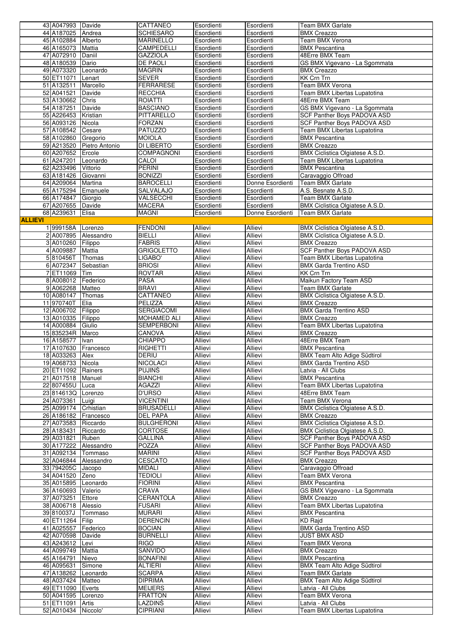|                |                      |                       | CATTANEO           | Esordienti     | Esordienti       | <b>Team BMX Garlate</b>             |
|----------------|----------------------|-----------------------|--------------------|----------------|------------------|-------------------------------------|
|                | 43 A047993 Davide    |                       |                    |                |                  |                                     |
|                | 44 A187025 Andrea    |                       | <b>SCHIESARO</b>   | Esordienti     | Esordienti       | <b>BMX Creazzo</b>                  |
|                | 45 A102884 Alberto   |                       | <b>MARINELLO</b>   | Esordienti     | Esordienti       | Team BMX Verona                     |
|                | 46 A165073 Mattia    |                       | CAMPEDELLI         | Esordienti     | Esordienti       | <b>BMX Pescantina</b>               |
|                | 47 A072910 Daniil    |                       | <b>GAZZIOLA</b>    | Esordienti     | Esordienti       | 48Erre BMX Team                     |
|                |                      |                       |                    |                |                  |                                     |
|                | 48 A180539           | Dario                 | DE PAOLI           | Esordienti     | Esordienti       | GS BMX Vigevano - La Sgommata       |
|                | 49 A073320 Leonardo  |                       | <b>MAGRIN</b>      | Esordienti     | Esordienti       | <b>BMX Creazzo</b>                  |
|                | 50 ET11071           | Lenart                | <b>SEVER</b>       | Esordienti     | Esordienti       | <b>KK Crn Trn</b>                   |
|                | 51 A132511           | Marcello              | <b>FERRARESE</b>   | Esordienti     | Esordienti       | Team BMX Verona                     |
|                |                      |                       |                    |                |                  |                                     |
|                | 52 A041521           | Davide                | <b>RECCHIA</b>     | Esordienti     | Esordienti       | Team BMX Libertas Lupatotina        |
|                | 53 A130662           | Chris                 | <b>ROIATTI</b>     | Esordienti     | Esordienti       | 48Erre BMX Team                     |
|                | 54 A187251           | Davide                | <b>BASCIANO</b>    | Esordienti     | Esordienti       | GS BMX Vigevano - La Sgommata       |
|                | 55 A226453           | Kristian              | PITTARELLO         | Esordienti     | Esordienti       | SCF Panther Boys PADOVA ASD         |
|                |                      |                       |                    |                |                  |                                     |
|                | 56 A093126           | Nicola                | <b>FORZAN</b>      | Esordienti     | Esordienti       | SCF Panther Boys PADOVA ASD         |
|                | 57 A108542           | Cesare                | PATUZZO            | Esordienti     | Esordienti       | Team BMX Libertas Lupatotina        |
|                | 58 A102860 Gregorio  |                       | <b>MOIOLA</b>      | Esordienti     | Esordienti       | <b>BMX Pescantina</b>               |
|                | 59 A213520           | Pietro Antonio        | DI LIBERTO         | Esordienti     | Esordienti       | <b>BMX Creazzo</b>                  |
|                | 60 A207652 Ercole    |                       | <b>COMPAGNONI</b>  | Esordienti     | Esordienti       | BMX Ciclistica Olgiatese A.S.D.     |
|                |                      |                       |                    |                |                  |                                     |
|                | 61 A247201           | Leonardo              | CALOI              | Esordienti     | Esordienti       | Team BMX Libertas Lupatotina        |
|                | 62 A233496 Vittorio  |                       | PERINI             | Esordienti     | Esordienti       | <b>BMX Pescantina</b>               |
|                | 63 A181426 Giovanni  |                       | <b>BONIZZI</b>     | Esordienti     | Esordienti       | Caravaggio Offroad                  |
|                | 64 A209064 Martina   |                       | <b>BAROCELLI</b>   | Esordienti     | Donne Esordienti | <b>Team BMX Garlate</b>             |
|                |                      |                       |                    |                |                  |                                     |
|                | 65 A175294 Emanuele  |                       | <b>SALVALAJO</b>   | Esordienti     | Esordienti       | A.S. Besnate A.S.D.                 |
|                | 66 A174847           | Giorgio               | VALSECCHI          | Esordienti     | Esordienti       | Team BMX Garlate                    |
|                | 67 A207655 Davide    |                       | <b>MACERA</b>      | Esordienti     | Esordienti       | BMX Ciclistica Olgiatese A.S.D.     |
|                | 68 A239631           | Elisa                 | <b>MAGNI</b>       | Esordienti     | Donne Esordienti | <b>Team BMX Garlate</b>             |
|                |                      |                       |                    |                |                  |                                     |
| <b>ALLIEVI</b> |                      |                       |                    |                |                  |                                     |
|                | 1999158A             | Lorenzo               | <b>FENDONI</b>     | Allievi        | <b>Allievi</b>   | BMX Ciclistica Olgiatese A.S.D.     |
|                |                      | 2 A007895 Alessandro  | <b>BIELLI</b>      | Allievi        | Allievi          | BMX Ciclistica Olgiatese A.S.D.     |
|                | 3 A010260 Filippo    |                       | <b>FABRIS</b>      | Allievi        | Allievi          | <b>BMX Creazzo</b>                  |
|                |                      |                       |                    |                |                  |                                     |
|                | 4 A009887 Mattia     |                       | <b>GRIGOLETTO</b>  | <b>Allievi</b> | Allievi          | SCF Panther Boys PADOVA ASD         |
|                | 5 810456T Thomas     |                       | LIGABO'            | Allievi        | Allievi          | Team BMX Libertas Lupatotina        |
|                | 6 A072347            | Sebastian             | <b>BRIOSI</b>      | Allievi        | Allievi          | <b>BMX Garda Trentino ASD</b>       |
|                | 7 ET11069 Tim        |                       | <b>ROVTAR</b>      | Allievi        | Allievi          | <b>KK Crn Trn</b>                   |
|                |                      |                       |                    |                |                  |                                     |
|                | 8 A008012 Federico   |                       | <b>PASA</b>        | Allievi        | Allievi          | Maikun Factory Team ASD             |
|                | 9 A062268 Matteo     |                       | <b>BRAVI</b>       | Allievi        | Allievi          | Team BMX Garlate                    |
|                | 10 A080147 Thomas    |                       | CATTANEO           | Allievi        | Allievi          | BMX Ciclistica Olgiatese A.S.D.     |
|                | 11 970740T           | Elia                  | PELIZZA            | Allievi        | Allievi          | <b>BMX Creazzo</b>                  |
|                | 12 A006702 Filippo   |                       |                    | Allievi        | Allievi          | <b>BMX Garda Trentino ASD</b>       |
|                |                      |                       | SERGIACOMI         |                |                  |                                     |
|                |                      |                       |                    |                |                  |                                     |
|                | 13 A010335           | Filippo               | <b>MOHAMED ALI</b> | Allievi        | Allievi          | <b>BMX Creazzo</b>                  |
|                | 14 A000884           | Giulio                | <b>SEMPERBONI</b>  | Allievi        | Allievi          | Team BMX Libertas Lupatotina        |
|                |                      |                       |                    |                |                  |                                     |
|                | 15 835234R Marco     |                       | CANOVA             | Allievi        | Allievi          | <b>BMX Creazzo</b>                  |
|                | 16 A158577   Ivan    |                       | <b>CHIAPPO</b>     | Allievi        | Allievi          | 48Erre BMX Team                     |
|                | 17 A107630           | Francesco             | RIGHETTI           | Allievi        | Allievi          | <b>BMX Pescantina</b>               |
|                |                      |                       | <b>DERIU</b>       | Allievi        | Allievi          | <b>BMX Team Alto Adige Südtirol</b> |
|                | 18 A033263 Alex      |                       |                    |                |                  |                                     |
|                | 19 A068733 Nicola    |                       | <b>NICOLACI</b>    | Allievi        | Allievi          | <b>BMX Garda Trentino ASD</b>       |
|                | 20 ET11092 Rainers   |                       | <b>PUJINŠ</b>      | Allievi        | Allievi          | Latvia - All Clubs                  |
|                | 21 A017518 Manuel    |                       | <b>BIANCHI</b>     | Allievi        | Allievi          | <b>BMX Pescantina</b>               |
|                | 22 807455U Luca      |                       | <b>AGAZZI</b>      | Allievi        | Allievi          | Team BMX Libertas Lupatotina        |
|                |                      |                       |                    |                |                  |                                     |
|                | 23 814613Q Lorenzo   |                       | D'URSO             | Allievi        | Allievi          | 48Erre BMX Team                     |
|                | 24 A073361           | Luigi                 | <b>VICENTINI</b>   | Allievi        | Allievi          | Team BMX Verona                     |
|                | 25 A099174 Crhistian |                       | <b>BRUSADELLI</b>  | Allievi        | Allievi          | BMX Ciclistica Olgiatese A.S.D.     |
|                | 26 A186182           | Francesco             | <b>DEL PAPA</b>    | Allievi        | Allievi          | <b>BMX Creazzo</b>                  |
|                |                      | Riccardo              |                    | Allievi        | Allievi          |                                     |
|                | 27 A073583           |                       | <b>BULGHERONI</b>  |                |                  | BMX Ciclistica Olgiatese A.S.D.     |
|                | 28 A183431           | Riccardo              | <b>CORTOSE</b>     | Allievi        | Allievi          | BMX Ciclistica Olgiatese A.S.D.     |
|                | 29 A031821           | Ruben                 | <b>GALLINA</b>     | Allievi        | Allievi          | SCF Panther Boys PADOVA ASD         |
|                |                      | 30 A177222 Alessandro | <b>POZZA</b>       | Allievi        | Allievi          | SCF Panther Boys PADOVA ASD         |
|                | 31 A092134 Tommaso   |                       | <b>MARINI</b>      | Allievi        | Allievi          | SCF Panther Boys PADOVA ASD         |
|                |                      |                       |                    | Allievi        |                  |                                     |
|                |                      | 32 A046844 Alessandro | <b>CESCATO</b>     |                | Allievi          | <b>BMX Creazzo</b>                  |
|                | 33 794205C Jacopo    |                       | <b>MIDALI</b>      | Allievi        | Allievi          | Caravaggio Offroad                  |
|                | 34 A041520 Zeno      |                       | <b>TEDIOLI</b>     | Allievi        | Allievi          | Team BMX Verona                     |
|                | 35 A015895           | Leonardo              | <b>FIORINI</b>     | Allievi        | Allievi          | <b>BMX Pescantina</b>               |
|                |                      | Valerio               | CRAVA              | Allievi        | Allievi          | GS BMX Vigevano - La Sgommata       |
|                | 36 A160693           |                       |                    |                |                  |                                     |
|                | 37 A073251           | Ettore                | CERANTOLA          | Allievi        | Allievi          | <b>BMX Creazzo</b>                  |
|                | 38 A006718           | Alessio               | <b>FUSARI</b>      | Allievi        | Allievi          | Team BMX Libertas Lupatotina        |
|                | 39 810037J           | Tommaso               | <b>MURARI</b>      | Allievi        | Allievi          | <b>BMX Pescantina</b>               |
|                | 40 ET11264           | Filip                 | <b>DERENCIN</b>    | Allievi        | Allievi          | KD Rajd                             |
|                |                      |                       |                    |                |                  |                                     |
|                | 41 A025557           | Federico              | <b>BOCIAN</b>      | Allievi        | Allievi          | <b>BMX Garda Trentino ASD</b>       |
|                | 42 A070598           | Davide                | <b>BURNELLI</b>    | Allievi        | Allievi          | JUST BMX ASD                        |
|                | 43 A243612           | Levi                  | RIGO               | Allievi        | Allievi          | Team BMX Verona                     |
|                | 44 A099749 Mattia    |                       | SANVIDO            | Allievi        | Allievi          | <b>BMX Creazzo</b>                  |
|                |                      |                       |                    |                |                  |                                     |
|                | 45 A164791           | Nievo                 | <b>BONAFINI</b>    | Allievi        | Allievi          | <b>BMX Pescantina</b>               |
|                | 46 A095631           | Simone                | <b>ALTIERI</b>     | Allievi        | Allievi          | BMX Team Alto Adige Südtirol        |
|                | 47 A138262 Leonardo  |                       | <b>SCARPA</b>      | Allievi        | Allievi          | <b>Team BMX Garlate</b>             |
|                |                      |                       | <b>DIPRIMA</b>     | Allievi        | Allievi          | <b>BMX Team Alto Adige Südtirol</b> |
|                | 48 A037424 Matteo    |                       |                    |                |                  |                                     |
|                | 49 ET11090           | Everts                | <b>MEIJERS</b>     | Allievi        | Allievi          | Latvia - All Clubs                  |
|                | 50 A041595           | Lorenzo               | <b>FRATTON</b>     | Allievi        | Allievi          | Team BMX Verona                     |
|                | 51 ET11091           | Artis                 | <b>LAZDINS</b>     | Allievi        | Allievi          | Latvia - All Clubs                  |
|                | 52 A010434 Niccolo'  |                       | <b>CIPRIANI</b>    | Allievi        | Allievi          | Team BMX Libertas Lupatotina        |